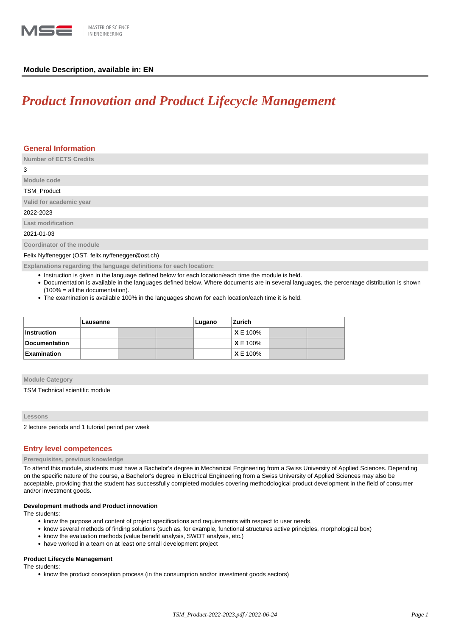

# **Module Description, available in: EN**

# *Product Innovation and Product Lifecycle Management*

| <b>General Information</b>                                         |
|--------------------------------------------------------------------|
| <b>Number of ECTS Credits</b>                                      |
| 3                                                                  |
| Module code                                                        |
| <b>TSM Product</b>                                                 |
| Valid for academic year                                            |
| 2022-2023                                                          |
| Last modification                                                  |
| 2021-01-03                                                         |
| Coordinator of the module                                          |
| Felix Nyffenegger (OST, felix.nyffenegger@ost.ch)                  |
| Explanations regarding the language definitions for each location: |

- Instruction is given in the language defined below for each location/each time the module is held.
- Documentation is available in the languages defined below. Where documents are in several languages, the percentage distribution is shown (100% = all the documentation).
- The examination is available 100% in the languages shown for each location/each time it is held.

|                    | Lausanne |  |  | Lugano | Zurich          |  |  |
|--------------------|----------|--|--|--------|-----------------|--|--|
| ∣Instruction       |          |  |  |        | <b>X</b> E 100% |  |  |
| Documentation      |          |  |  |        | XE 100%         |  |  |
| <b>Examination</b> |          |  |  |        | <b>XE 100%</b>  |  |  |

# **Module Category**

TSM Technical scientific module

## **Lessons**

2 lecture periods and 1 tutorial period per week

## **Entry level competences**

#### **Prerequisites, previous knowledge**

To attend this module, students must have a Bachelor's degree in Mechanical Engineering from a Swiss University of Applied Sciences. Depending on the specific nature of the course, a Bachelor's degree in Electrical Engineering from a Swiss University of Applied Sciences may also be acceptable, providing that the student has successfully completed modules covering methodological product development in the field of consumer and/or investment goods.

#### **Development methods and Product innovation**

The students:

- know the purpose and content of project specifications and requirements with respect to user needs,
- know several methods of finding solutions (such as, for example, functional structures active principles, morphological box)
- know the evaluation methods (value benefit analysis, SWOT analysis, etc.)
- have worked in a team on at least one small development project

# **Product Lifecycle Management**

The students:

• know the product conception process (in the consumption and/or investment goods sectors)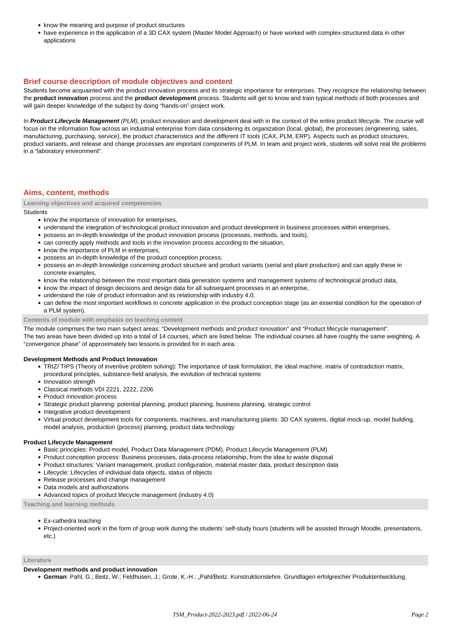- know the meaning and purpose of product structures
- have experience in the application of a 3D CAX system (Master Model Approach) or have worked with complex-structured data in other applications

# **Brief course description of module objectives and content**

Students become acquainted with the product innovation process and its strategic importance for enterprises. They recognize the relationship between the **product innovation** process and the **product development** process. Students will get to know and train typical methods of both processes and will gain deeper knowledge of the subject by doing "hands-on"-project work.

In **Product Lifecycle Management** (PLM), product innovation and development deal with in the context of the entire product lifecycle. The course will focus on the information flow across an industrial enterprise from data considering its organization (local, global), the processes (engineering, sales, manufacturing, purchasing, service), the product characteristics and the different IT tools (CAX, PLM, ERP). Aspects such as product structures, product variants, and release and change processes are important components of PLM. In team and project work, students will solve real life problems in a "laboratory environment".

# **Aims, content, methods**

**Learning objectives and acquired competencies**

## **Students**

- know the importance of innovation for enterprises.
- understand the integration of technological product innovation and product development in business processes within enterprises,
- possess an in-depth knowledge of the product innovation process (processes, methods, and tools),
- can correctly apply methods and tools in the innovation process according to the situation,
- know the importance of PLM in enterprises,
- possess an in-depth knowledge of the product conception process,
- possess an in-depth knowledge concerning product structure and product variants (serial and plant production) and can apply these in concrete examples,
- know the relationship between the most important data generation systems and management systems of technological product data,
- know the impact of design decisions and design data for all subsequent processes in an enterprise,
- understand the role of product information and its relationship with industry 4.0,
- can define the most important workflows in concrete application in the product conception stage (as an essential condition for the operation of a PLM system).

## **Contents of module with emphasis on teaching content**

The module comprises the two main subject areas: "Development methods and product innovation" and "Product lifecycle management".

The two areas have been divided up into a total of 14 courses, which are listed below. The individual courses all have roughly the same weighting. A "convergence phase" of approximately two lessons is provided for in each area.

### **Development Methods and Product Innovation**

- TRIZ/ TIPS (Theory of inventive problem solving): The importance of task formulation, the ideal machine, matrix of contradiction matrix, procedural principles, substance-field analysis, the evolution of technical systems
	- Innovation strength
	- Classical methods VDI 2221, 2222, 2206
	- Product innovation process
	- Strategic product planning: potential planning, product planning, business planning, strategic control
	- Integrative product development
	- Virtual product development tools for components, machines, and manufacturing plants: 3D CAX systems, digital mock-up, model building, model analysis, production (process) planning, product data technology

#### **Product Lifecycle Management**

- Basic principles: Product model, Product Data Management (PDM), Product Lifecycle Management (PLM)
- Product conception process: Business processes, data-process relationship, from the idea to waste disposal
- Product structures: Variant management, product configuration, material master data, product description data
- Lifecycle: Lifecycles of individual data objects, status of objects
- Release processes and change management
- Data models and authorizations
- Advanced topics of product lifecycle management (industry 4.0)

## **Teaching and learning methods**

- Ex-cathedra teaching
- Project-oriented work in the form of group work during the students' self-study hours (students will be assisted through Moodle, presentations, etc.)

## **Literature**

#### **Development methods and product innovation**

**German**: Pahl, G.; Beitz, W.; Feldhusen, J.; Grote, K.-H.: "Pahl/Beitz. Konstruktionslehre. Grundlagen erfolgreicher Produktentwicklung.